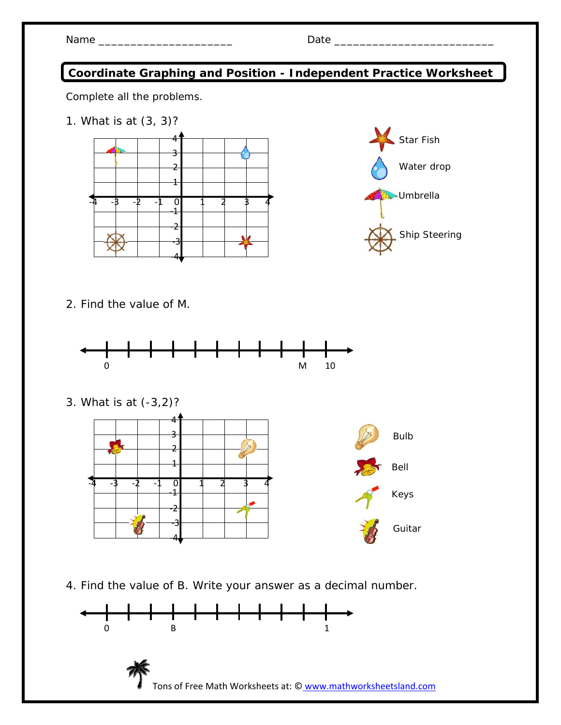| Name |  |
|------|--|
|------|--|

## **Coordinate Graphing and Position - Independent Practice Worksheet**

Complete all the problems.

1. What is at (3, 3)?





2. Find the value of M.



3. What is at (-3,2)?



4. Find the value of B. Write your answer as a decimal number.

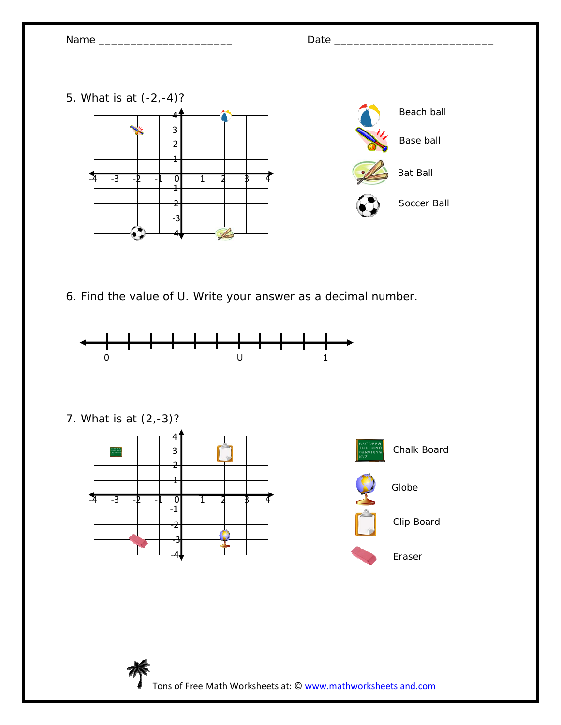



7. What is at (2,-3)?